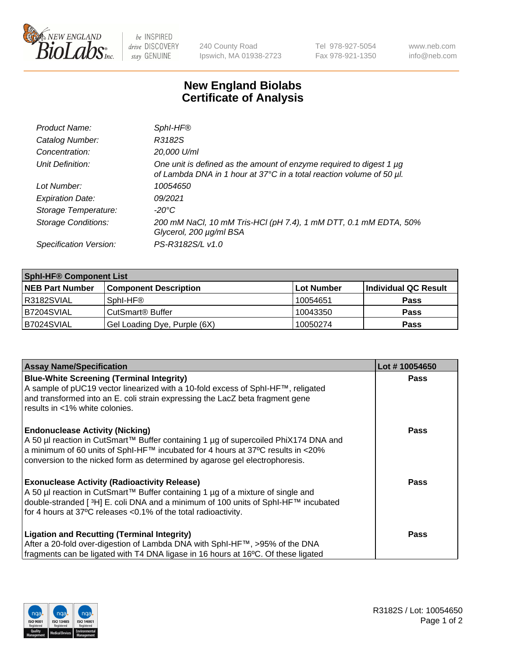

 $be$  INSPIRED drive DISCOVERY stay GENUINE

240 County Road Ipswich, MA 01938-2723 Tel 978-927-5054 Fax 978-921-1350 www.neb.com info@neb.com

## **New England Biolabs Certificate of Analysis**

| Product Name:              | Sphl-HF <sup>®</sup>                                                                                                                             |
|----------------------------|--------------------------------------------------------------------------------------------------------------------------------------------------|
| Catalog Number:            | R3182S                                                                                                                                           |
| Concentration:             | 20,000 U/ml                                                                                                                                      |
| Unit Definition:           | One unit is defined as the amount of enzyme required to digest 1 $\mu$ g<br>of Lambda DNA in 1 hour at 37°C in a total reaction volume of 50 µl. |
| Lot Number:                | 10054650                                                                                                                                         |
| <b>Expiration Date:</b>    | 09/2021                                                                                                                                          |
| Storage Temperature:       | -20°C                                                                                                                                            |
| <b>Storage Conditions:</b> | 200 mM NaCl, 10 mM Tris-HCl (pH 7.4), 1 mM DTT, 0.1 mM EDTA, 50%<br>Glycerol, 200 µg/ml BSA                                                      |
| Specification Version:     | PS-R3182S/L v1.0                                                                                                                                 |

| <b>Sphl-HF® Component List</b> |                              |            |                      |  |  |
|--------------------------------|------------------------------|------------|----------------------|--|--|
| <b>NEB Part Number</b>         | <b>Component Description</b> | Lot Number | Individual QC Result |  |  |
| R3182SVIAL                     | Sphl-HF <sup>®</sup>         | 10054651   | <b>Pass</b>          |  |  |
| IB7204SVIAL                    | CutSmart <sup>®</sup> Buffer | 10043350   | <b>Pass</b>          |  |  |
| B7024SVIAL                     | Gel Loading Dye, Purple (6X) | 10050274   | <b>Pass</b>          |  |  |

| <b>Assay Name/Specification</b>                                                                                                                                         | Lot #10054650 |
|-------------------------------------------------------------------------------------------------------------------------------------------------------------------------|---------------|
| <b>Blue-White Screening (Terminal Integrity)</b><br>A sample of pUC19 vector linearized with a 10-fold excess of SphI-HF™, religated                                    | <b>Pass</b>   |
| and transformed into an E. coli strain expressing the LacZ beta fragment gene<br>results in <1% white colonies.                                                         |               |
| <b>Endonuclease Activity (Nicking)</b><br>A 50 µl reaction in CutSmart™ Buffer containing 1 µg of supercoiled PhiX174 DNA and                                           | Pass          |
| $\alpha$ a minimum of 60 units of SphI-HF™ incubated for 4 hours at 37°C results in <20%<br>conversion to the nicked form as determined by agarose gel electrophoresis. |               |
| <b>Exonuclease Activity (Radioactivity Release)</b>                                                                                                                     | Pass          |
| A 50 µl reaction in CutSmart™ Buffer containing 1 µg of a mixture of single and<br>double-stranded [3H] E. coli DNA and a minimum of 100 units of Sphl-HF™ incubated    |               |
| for 4 hours at 37°C releases <0.1% of the total radioactivity.                                                                                                          |               |
| <b>Ligation and Recutting (Terminal Integrity)</b>                                                                                                                      | <b>Pass</b>   |
| After a 20-fold over-digestion of Lambda DNA with SphI-HF™, >95% of the DNA                                                                                             |               |
| fragments can be ligated with T4 DNA ligase in 16 hours at 16°C. Of these ligated                                                                                       |               |